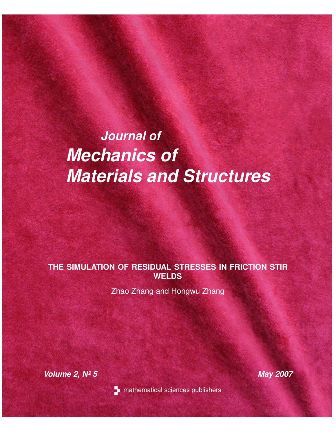# *Journal of Mechanics of Materials and Structures*

# **THE SIMULATION OF RESIDUAL STRESSES IN FRICTION STIR WELDS**

Zhao Zhang and Hongwu Zhang

*Volume 2, Nº 5 May 2007*



**n** mathematical sciences publishers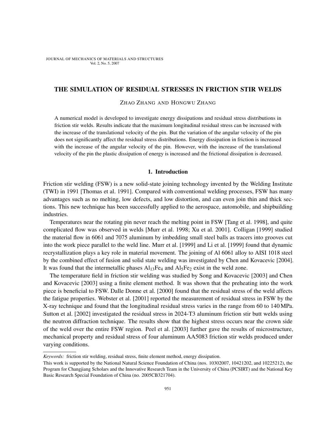JOURNAL OF MECHANICS OF MATERIALS AND STRUCTURES Vol. 2, No. 5, 2007

# THE SIMULATION OF RESIDUAL STRESSES IN FRICTION STIR WELDS

ZHAO ZHANG AND HONGWU ZHANG

A numerical model is developed to investigate energy dissipations and residual stress distributions in friction stir welds. Results indicate that the maximum longitudinal residual stress can be increased with the increase of the translational velocity of the pin. But the variation of the angular velocity of the pin does not significantly affect the residual stress distributions. Energy dissipation in friction is increased with the increase of the angular velocity of the pin. However, with the increase of the translational velocity of the pin the plastic dissipation of energy is increased and the frictional dissipation is decreased.

#### 1. Introduction

Friction stir welding (FSW) is a new solid-state joining technology invented by the Welding Institute (TWI) in 1991 [Thomas et al. 1991]. Compared with conventional welding processes, FSW has many advantages such as no melting, low defects, and low distortion, and can even join thin and thick sections. This new technique has been successfully applied to the aerospace, automobile, and shipbuilding industries.

Temperatures near the rotating pin never reach the melting point in FSW [Tang et al. 1998], and quite complicated flow was observed in welds [Murr et al. 1998; Xu et al. 2001]. Colligan [1999] studied the material flow in 6061 and 7075 aluminum by imbedding small steel balls as tracers into grooves cut into the work piece parallel to the weld line. Murr et al. [1999] and Li et al. [1999] found that dynamic recrystallization plays a key role in material movement. The joining of Al 6061 alloy to AISI 1018 steel by the combined effect of fusion and solid state welding was investigated by Chen and Kovacevic [2004]. It was found that the intermetallic phases  $Al<sub>13</sub>Fe<sub>4</sub>$  and  $Al<sub>5</sub>Fe<sub>2</sub>$  exist in the weld zone.

The temperature field in friction stir welding was studied by Song and Kovacevic [2003] and Chen and Kovacevic [2003] using a finite element method. It was shown that the preheating into the work piece is beneficial to FSW. Dalle Donne et al. [2000] found that the residual stress of the weld affects the fatigue properties. Webster et al. [2001] reported the measurement of residual stress in FSW by the X-ray technique and found that the longitudinal residual stress varies in the range from 60 to 140 MPa. Sutton et al. [2002] investigated the residual stress in 2024-T3 aluminum friction stir butt welds using the neutron diffraction technique. The results show that the highest stress occurs near the crown side of the weld over the entire FSW region. Peel et al. [2003] further gave the results of microstructure, mechanical property and residual stress of four aluminum AA5083 friction stir welds produced under varying conditions.

*Keywords:* friction stir welding, residual stress, finite element method, energy dissipation.

This work is supported by the National Natural Science Foundation of China (nos. 10302007, 10421202, and 10225212), the Program for Changjiang Scholars and the Innovative Research Team in the University of China (PCSIRT) and the National Key Basic Research Special Foundation of China (no. 2005CB321704).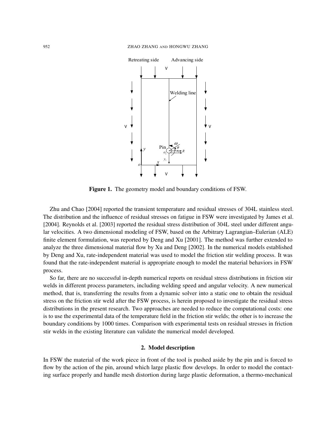

Figure 1. The geometry model and boundary conditions of FSW.

Zhu and Chao [2004] reported the transient temperature and residual stresses of 304L stainless steel. The distribution and the influence of residual stresses on fatigue in FSW were investigated by James et al. [2004]. Reynolds et al. [2003] reported the residual stress distribution of 304L steel under different angular velocities. A two dimensional modeling of FSW, based on the Arbitrary Lagrangian–Eulerian (ALE) finite element formulation, was reported by Deng and Xu [2001]. The method was further extended to analyze the three dimensional material flow by Xu and Deng [2002]. In the numerical models established by Deng and Xu, rate-independent material was used to model the friction stir welding process. It was found that the rate-independent material is appropriate enough to model the material behaviors in FSW process.

So far, there are no successful in-depth numerical reports on residual stress distributions in friction stir welds in different process parameters, including welding speed and angular velocity. A new numerical method, that is, transferring the results from a dynamic solver into a static one to obtain the residual stress on the friction stir weld after the FSW process, is herein proposed to investigate the residual stress distributions in the present research. Two approaches are needed to reduce the computational costs: one is to use the experimental data of the temperature field in the friction stir welds; the other is to increase the boundary conditions by 1000 times. Comparison with experimental tests on residual stresses in friction stir welds in the existing literature can validate the numerical model developed.

# 2. Model description

In FSW the material of the work piece in front of the tool is pushed aside by the pin and is forced to flow by the action of the pin, around which large plastic flow develops. In order to model the contacting surface properly and handle mesh distortion during large plastic deformation, a thermo-mechanical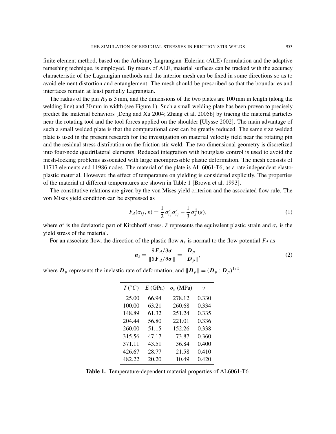finite element method, based on the Arbitrary Lagrangian–Eulerian (ALE) formulation and the adaptive remeshing technique, is employed. By means of ALE, material surfaces can be tracked with the accuracy characteristic of the Lagrangian methods and the interior mesh can be fixed in some directions so as to avoid element distortion and entanglement. The mesh should be prescribed so that the boundaries and interfaces remain at least partially Lagrangian.

The radius of the pin  $R_0$  is 3 mm, and the dimensions of the two plates are 100 mm in length (along the welding line) and 30 mm in width (see Figure 1). Such a small welding plate has been proven to precisely predict the material behaviors [Deng and Xu 2004; Zhang et al. 2005b] by tracing the material particles near the rotating tool and the tool forces applied on the shoulder [Ulysse 2002]. The main advantage of such a small welded plate is that the computational cost can be greatly reduced. The same size welded plate is used in the present research for the investigation on material velocity field near the rotating pin and the residual stress distribution on the friction stir weld. The two dimensional geometry is discretized into four-node quadrilateral elements. Reduced integration with hourglass control is used to avoid the mesh-locking problems associated with large incompressible plastic deformation. The mesh consists of 11717 elements and 11986 nodes. The material of the plate is AL 6061-T6, as a rate independent elastoplastic material. However, the effect of temperature on yielding is considered explicitly. The properties of the material at different temperatures are shown in Table 1 [Brown et al. 1993].

The constitutive relations are given by the von Mises yield criterion and the associated flow rule. The von Mises yield condition can be expressed as

$$
F_d(\sigma_{ij}, \bar{\varepsilon}) = \frac{1}{2} \sigma'_{ij} \sigma'_{ij} - \frac{1}{3} \sigma_s^2(\bar{\varepsilon}), \qquad (1)
$$

where  $\sigma'$  is the deviatoric part of Kirchhoff stress.  $\bar{\varepsilon}$  represents the equivalent plastic strain and  $\sigma_s$  is the yield stress of the material.

For an associate flow, the direction of the plastic flow  $n_s$  is normal to the flow potential  $F_d$  as

$$
\boldsymbol{n}_s = \frac{\partial \boldsymbol{F}_d / \partial \boldsymbol{\sigma}}{\|\partial \boldsymbol{F}_d / \partial \boldsymbol{\sigma}\|} = \frac{\boldsymbol{D}_p}{\|\boldsymbol{D}_p\|},\tag{2}
$$

where  $D_p$  represents the inelastic rate of deformation, and  $||D_p|| = (D_p : D_p)^{1/2}$ .

| $T({}^{\circ}C)$ | E(GPa) | $\sigma_u$ (MPa) | ν     |
|------------------|--------|------------------|-------|
| 25.00            | 66.94  | 278.12           | 0.330 |
| 100.00           | 63.21  | 260.68           | 0.334 |
| 148.89           | 61.32  | 251.24           | 0.335 |
| 204.44           | 56.80  | 221.01           | 0.336 |
| 260.00           | 51.15  | 152.26           | 0.338 |
| 315.56           | 47.17  | 73.87            | 0.360 |
| 371.11           | 43.51  | 36.84            | 0.400 |
| 426.67           | 28.77  | 21.58            | 0.410 |
| 482.22           | 20.20  | 10.49            | 0.420 |

Table 1. Temperature-dependent material properties of AL6061-T6.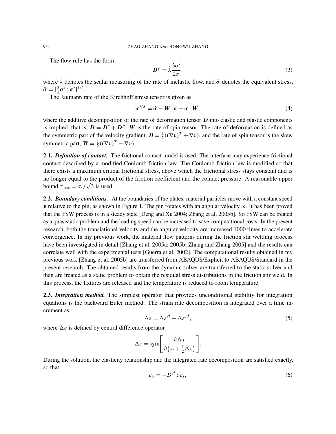The flow rule has the form

$$
D^p = \dot{\lambda} \frac{3\sigma'}{2\bar{\sigma}},\tag{3}
$$

where  $\lambda$  denotes the scalar measuring of the rate of inelastic flow, and  $\bar{\sigma}$  denotes the equivalent stress,  $\bar{\sigma} = [\frac{3}{2}\sigma' : \sigma']^{1/2}.$ 

The Jaumann rate of the Kirchhoff stress tensor is given as

$$
\sigma^{\nabla J} = \dot{\sigma} - W \cdot \sigma + \sigma \cdot W, \qquad (4)
$$

where the additive decomposition of the rate of deformation tensor  $D$  into elastic and plastic components is implied, that is,  $D = D^e + D^p$ . W is the rate of spin tensor. The rate of deformation is defined as the symmetric part of the velocity gradient,  $D = \frac{1}{2}$  $\frac{1}{2}((\nabla \mathbf{v})^T + \nabla \mathbf{v})$ , and the rate of spin tensor is the skew symmetric part,  $W = \frac{1}{2}$  $\frac{1}{2}((\nabla \mathbf{v})^T - \nabla \mathbf{v}).$ 

2.1. *Definition of contact.* The frictional contact model is used. The interface may experience frictional contact described by a modified Coulomb friction law. The Coulomb friction law is modified so that there exists a maximum critical frictional stress, above which the frictional stress stays constant and is no longer equal to the product of the friction coefficient and the contact pressure. A reasonable upper bound  $\tau_{\text{max}} = \sigma_s / \sqrt{3}$  is used.

2.2. *Boundary conditions.* At the boundaries of the plates, material particles move with a constant speed **v** relative to the pin, as shown in Figure 1. The pin rotates with an angular velocity  $\omega$ . It has been proved that the FSW process is in a steady state [Deng and Xu 2004; Zhang et al. 2005b]. So FSW can be treated as a quasistatic problem and the loading speed can be increased to save computational costs. In the present research, both the translational velocity and the angular velocity are increased 1000 times to accelerate convergence. In my previous work, the material flow patterns during the friction stir welding process have been investigated in detail [Zhang et al. 2005a; 2005b; Zhang and Zhang 2005] and the results can correlate well with the experimental tests [Guerra et al. 2002]. The computational results obtained in my previous work [Zhang et al. 2005b] are transferred from ABAQUS/Explicit to ABAQUS/Standard in the present research. The obtained results from the dynamic solver are transferred to the static solver and then are treated as a static problem to obtain the residual stress distributions in the friction stir weld. In this process, the fixtures are released and the temperature is reduced to room temperature.

2.3. *Integration method.* The simplest operator that provides unconditional stability for integration equations is the backward Euler method. The strain rate decomposition is integrated over a time increment as

$$
\Delta \varepsilon = \Delta \varepsilon^{el} + \Delta \varepsilon^{pl},\tag{5}
$$

where  $\Delta \varepsilon$  is defined by central difference operator

$$
\Delta \varepsilon = \text{sym}\bigg[\frac{\partial \Delta x}{\partial (x_t + \frac{1}{2}\Delta x)}\bigg].
$$

During the solution, the elasticity relationship and the integrated rate decomposition are satisfied exactly, so that

$$
c_{\sigma} = -D^{el} : c_{\varepsilon},\tag{6}
$$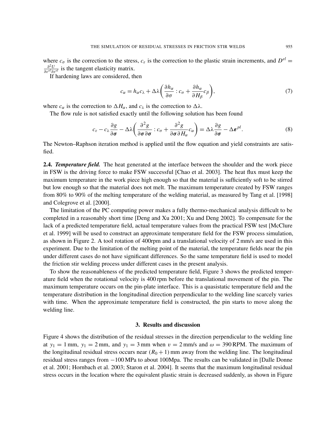where  $c_{\sigma}$  is the correction to the stress,  $c_{\varepsilon}$  is the correction to the plastic strain increments, and  $D^{el}$  =  $\frac{\partial^2 U}{\partial \varepsilon^{el} \partial \varepsilon^{el}}$  is the tangent elasticity matrix.

If hardening laws are considered, then

$$
c_{\alpha} = h_{\alpha}c_{\lambda} + \Delta\lambda \left(\frac{\partial h_{\alpha}}{\partial \sigma} : c_{\sigma} + \frac{\partial h_{\alpha}}{\partial H_{\beta}}c_{\beta}\right),\tag{7}
$$

where  $c_{\alpha}$  is the correction to  $\Delta H_{\alpha}$ , and  $c_{\lambda}$  is the correction to  $\Delta \lambda$ .

The flow rule is not satisfied exactly until the following solution has been found

$$
c_{\varepsilon} - c_{\lambda} \frac{\partial g}{\partial \sigma} - \Delta \lambda \left( \frac{\partial^2 g}{\partial \sigma \partial \sigma} : c_{\sigma} + \frac{\partial^2 g}{\partial \sigma \partial H_{\alpha}} c_{\alpha} \right) = \Delta \lambda \frac{\partial g}{\partial \sigma} - \Delta \varepsilon^{\rho l}.
$$
 (8)

The Newton–Raphson iteration method is applied until the flow equation and yield constraints are satisfied.

2.4. *Temperature field.* The heat generated at the interface between the shoulder and the work piece in FSW is the driving force to make FSW successful [Chao et al. 2003]. The heat flux must keep the maximum temperature in the work piece high enough so that the material is sufficiently soft to be stirred but low enough so that the material does not melt. The maximum temperature created by FSW ranges from 80% to 90% of the melting temperature of the welding material, as measured by Tang et al. [1998] and Colegrove et al. [2000].

The limitation of the PC computing power makes a fully thermo-mechanical analysis difficult to be completed in a reasonably short time [Deng and Xu 2001; Xu and Deng 2002]. To compensate for the lack of a predicted temperature field, actual temperature values from the practical FSW test [McClure et al. 1999] will be used to construct an approximate temperature field for the FSW process simulation, as shown in Figure 2. A tool rotation of 400rpm and a translational velocity of 2 mm/s are used in this experiment. Due to the limitation of the melting point of the material, the temperature fields near the pin under different cases do not have significant differences. So the same temperature field is used to model the friction stir welding process under different cases in the present analysis.

To show the reasonableness of the predicted temperature field, Figure 3 shows the predicted temperature field when the rotational velocity is 400 rpm before the translational movement of the pin. The maximum temperature occurs on the pin-plate interface. This is a quasistatic temperature field and the temperature distribution in the longitudinal direction perpendicular to the welding line scarcely varies with time. When the approximate temperature field is constructed, the pin starts to move along the welding line.

### 3. Results and discussion

Figure 4 shows the distribution of the residual stresses in the direction perpendicular to the welding line at  $y_1 = 1$  mm,  $y_1 = 2$  mm, and  $y_1 = 3$  mm when  $v = 2$  mm/s and  $\omega = 390$  RPM. The maximum of the longitudinal residual stress occurs near  $(R_0 + 1)$  mm away from the welding line. The longitudinal residual stress ranges from −100 MPa to about 100Mpa. The results can be validated in [Dalle Donne et al. 2001; Hornbach et al. 2003; Staron et al. 2004]. It seems that the maximum longitudinal residual stress occurs in the location where the equivalent plastic strain is decreased suddenly, as shown in Figure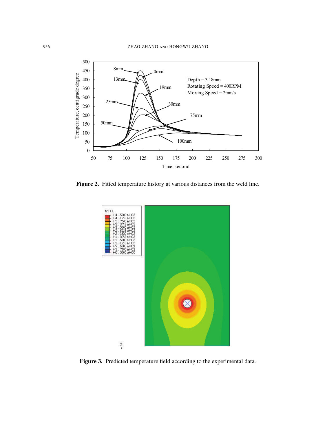

Figure 2. Fitted temperature history at various distances from the weld line.



Figure 3. Predicted temperature field according to the experimental data.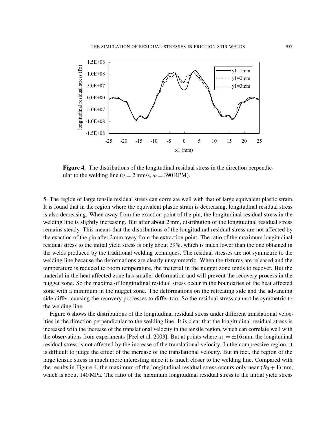

Figure 4. The distributions of the longitudinal residual stress in the direction perpendicular to the welding line ( $v = 2$  mm/s,  $\omega = 390$  RPM).

5. The region of large tensile residual stress can correlate well with that of large equivalent plastic strain. It is found that in the region where the equivalent plastic strain is decreasing, longitudinal residual stress is also decreasing. When away from the exaction point of the pin, the longitudinal residual stress in the welding line is slightly increasing. But after about 2 mm, distribution of the longitudinal residual stress remains steady. This means that the distributions of the longitudinal residual stress are not affected by the exaction of the pin after 2 mm away from the extraction point. The ratio of the maximum longitudinal residual stress to the initial yield stress is only about 39%, which is much lower than the one obtained in the welds produced by the traditional welding techniques. The residual stresses are not symmetric to the welding line because the deformations are clearly unsymmetric. When the fixtures are released and the temperature is reduced to room temperature, the material in the nugget zone tends to recover. But the material in the heat affected zone has smaller deformation and will prevent the recovery process in the nugget zone. So the maxima of longitudinal residual stress occur in the boundaries of the heat affected zone with a minimum in the nugget zone. The deformations on the retreating side and the advancing side differ, causing the recovery processes to differ too. So the residual stress cannot be symmetric to the welding line.

Figure 6 shows the distributions of the longitudinal residual stress under different translational velocities in the direction perpendicular to the welding line. It is clear that the longitudinal residual stress is increased with the increase of the translational velocity in the tensile region, which can correlate well with the observations from experiments [Peel et al. 2003]. But at points where  $x_1 = \pm 16$  mm, the longitudinal residual stress is not affected by the increase of the translational velocity. In the compressive region, it is difficult to judge the effect of the increase of the translational velocity. But in fact, the region of the large tensile stress is much more interesting since it is much closer to the welding line. Compared with the results in Figure 4, the maximum of the longitudinal residual stress occurs only near  $(R_0 + 1)$  mm, which is about 140 MPa. The ratio of the maximum longitudinal residual stress to the initial yield stress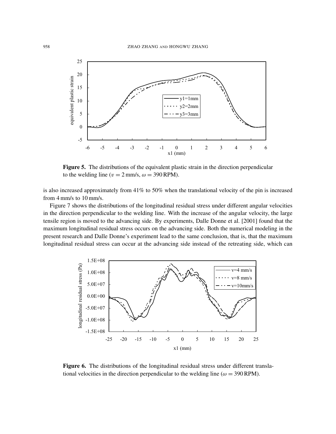

Figure 5. The distributions of the equivalent plastic strain in the direction perpendicular to the welding line ( $v = 2$  mm/s,  $\omega = 390$  RPM).

is also increased approximately from 41% to 50% when the translational velocity of the pin is increased from 4 mm/s to 10 mm/s.

Figure 7 shows the distributions of the longitudinal residual stress under different angular velocities in the direction perpendicular to the welding line. With the increase of the angular velocity, the large tensile region is moved to the advancing side. By experiments, Dalle Donne et al. [2001] found that the maximum longitudinal residual stress occurs on the advancing side. Both the numerical modeling in the present research and Dalle Donne's experiment lead to the same conclusion, that is, that the maximum longitudinal residual stress can occur at the advancing side instead of the retreating side, which can



Figure 6. The distributions of the longitudinal residual stress under different translational velocities in the direction perpendicular to the welding line ( $\omega = 390$  RPM).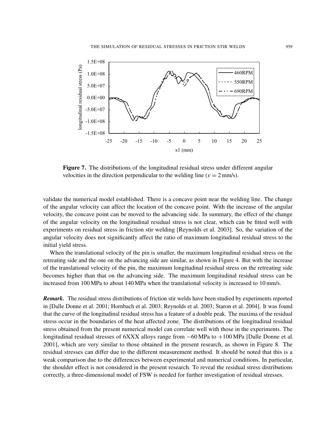

Figure 7. The distributions of the longitudinal residual stress under different angular velocities in the direction perpendicular to the welding line ( $v = 2$  mm/s).

validate the numerical model established. There is a concave point near the welding line. The change of the angular velocity can affect the location of the concave point. With the increase of the angular velocity, the concave point can be moved to the advancing side. In summary, the effect of the change of the angular velocity on the longitudinal residual stress is not clear, which can be fitted well with experiments on residual stress in friction stir welding [Reynolds et al. 2003]. So, the variation of the angular velocity does not significantly affect the ratio of maximum longitudinal residual stress to the initial yield stress.

When the translational velocity of the pin is smaller, the maximum longitudinal residual stress on the retreating side and the one on the advancing side are similar, as shown in Figure 4. But with the increase of the translational velocity of the pin, the maximum longitudinal residual stress on the retreating side becomes higher than that on the advancing side. The maximum longitudinal residual stress can be increased from 100 MPa to about 140 MPa when the translational velocity is increased to 10 mm/s.

*Remark.* The residual stress distributions of friction stir welds have been studied by experiments reported in [Dalle Donne et al. 2001; Hornbach et al. 2003; Reynolds et al. 2003; Staron et al. 2004]. It was found that the curve of the longitudinal residual stress has a feature of a double peak. The maxima of the residual stress occur in the boundaries of the heat affected zone. The distributions of the longitudinal residual stress obtained from the present numerical model can correlate well with those in the experiments. The longitudinal residual stresses of 6XXX alloys range from −60 MPa to +100 MPa [Dalle Donne et al. 2001], which are very similar to those obtained in the present research, as shown in Figure 8. The residual stresses can differ due to the different measurement method. It should be noted that this is a weak comparison due to the differences between experimental and numerical conditions. In particular, the shoulder effect is not considered in the present research. To reveal the residual stress distributions correctly, a three-dimensional model of FSW is needed for further investigation of residual stresses.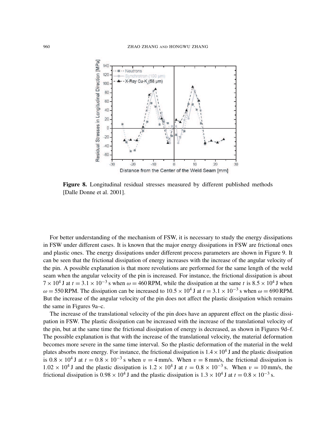

Figure 8. Longitudinal residual stresses measured by different published methods [Dalle Donne et al. 2001].

For better understanding of the mechanism of FSW, it is necessary to study the energy dissipations in FSW under different cases. It is known that the major energy dissipations in FSW are frictional ones and plastic ones. The energy dissipations under different process parameters are shown in Figure 9. It can be seen that the frictional dissipation of energy increases with the increase of the angular velocity of the pin. A possible explanation is that more revolutions are performed for the same length of the weld seam when the angular velocity of the pin is increased. For instance, the frictional dissipation is about  $7 \times 10^4$  J at  $t = 3.1 \times 10^{-3}$  s when  $\omega = 460$  RPM, while the dissipation at the same t is  $8.5 \times 10^4$  J when  $\omega = 550$  RPM. The dissipation can be increased to  $10.5 \times 10^4$  J at  $t = 3.1 \times 10^{-3}$  s when  $\omega = 690$  RPM. But the increase of the angular velocity of the pin does not affect the plastic dissipation which remains the same in Figures 9a–c.

The increase of the translational velocity of the pin does have an apparent effect on the plastic dissipation in FSW. The plastic dissipation can be increased with the increase of the translational velocity of the pin, but at the same time the frictional dissipation of energy is decreased, as shown in Figures 9d–f. The possible explanation is that with the increase of the translational velocity, the material deformation becomes more severe in the same time interval. So the plastic deformation of the material in the weld plates absorbs more energy. For instance, the frictional dissipation is  $1.4 \times 10^4$  J and the plastic dissipation is  $0.8 \times 10^4$  J at  $t = 0.8 \times 10^{-3}$  s when  $v = 4$  mm/s. When  $v = 8$  mm/s, the frictional dissipation is  $1.02 \times 10^4$  J and the plastic dissipation is  $1.2 \times 10^4$  J at  $t = 0.8 \times 10^{-3}$  s. When  $v = 10$  mm/s, the frictional dissipation is  $0.98 \times 10^4$  J and the plastic dissipation is  $1.3 \times 10^4$  J at  $t = 0.8 \times 10^{-3}$  s.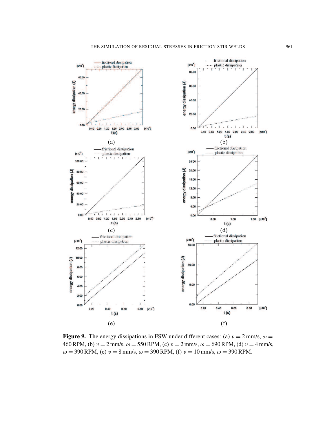

Figure 9. The energy dissipations in FSW under different cases: (a)  $v = 2$  mm/s,  $\omega =$ 460 RPM, (b)  $v = 2$  mm/s,  $\omega = 550$  RPM, (c)  $v = 2$  mm/s,  $\omega = 690$  RPM, (d)  $v = 4$  mm/s,  $\omega = 390$  RPM, (e)  $v = 8$  mm/s,  $\omega = 390$  RPM, (f)  $v = 10$  mm/s,  $\omega = 390$  RPM.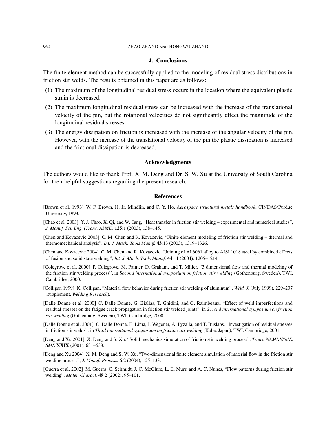#### 4. Conclusions

The finite element method can be successfully applied to the modeling of residual stress distributions in friction stir welds. The results obtained in this paper are as follows:

- (1) The maximum of the longitudinal residual stress occurs in the location where the equivalent plastic strain is decreased.
- (2) The maximum longitudinal residual stress can be increased with the increase of the translational velocity of the pin, but the rotational velocities do not significantly affect the magnitude of the longitudinal residual stresses.
- (3) The energy dissipation on friction is increased with the increase of the angular velocity of the pin. However, with the increase of the translational velocity of the pin the plastic dissipation is increased and the frictional dissipation is decreased.

#### Acknowledgments

The authors would like to thank Prof. X. M. Deng and Dr. S. W. Xu at the University of South Carolina for their helpful suggestions regarding the present research.

### References

- [Brown et al. 1993] W. F. Brown, H. Jr. Mindlin, and C. Y. Ho, *Aerospace structural metals handbook*, CINDAS/Purdue University, 1993.
- [Chao et al. 2003] Y. J. Chao, X. Qi, and W. Tang, "Heat transfer in friction stir welding experimental and numerical studies", *J. Manuf. Sci. Eng. (Trans. ASME)* 125:1 (2003), 138–145.
- [Chen and Kovacevic 2003] C. M. Chen and R. Kovacevic, "Finite element modeling of friction stir welding thermal and thermomechanical analysis", *Int. J. Mach. Tools Manuf.* 43:13 (2003), 1319–1326.
- [Chen and Kovacevic 2004] C. M. Chen and R. Kovacevic, "Joining of Al 6061 alloy to AISI 1018 steel by combined effects of fusion and solid state welding", *Int. J. Mach. Tools Manuf.* 44:11 (2004), 1205–1214.
- [Colegrove et al. 2000] P. Colegrove, M. Painter, D. Graham, and T. Miller, "3 dimensional flow and thermal modeling of the friction stir welding process", in *Second international symposium on friction stir welding* (Gothenburg, Sweden), TWI, Cambridge, 2000.
- [Colligan 1999] K. Colligan, "Material flow behavior during friction stir welding of aluminum", *Weld. J.* (July 1999), 229–237 (supplement, *Welding Research*).
- [Dalle Donne et al. 2000] C. Dalle Donne, G. Biallas, T. Ghidini, and G. Raimbeaux, "Effect of weld imperfections and residual stresses on the fatigue crack propagation in friction stir welded joints", in *Second international symposium on friction stir welding* (Gothenburg, Sweden), TWI, Cambridge, 2000.
- [Dalle Donne et al. 2001] C. Dalle Donne, E. Lima, J. Wegener, A. Pyzalla, and T. Buslaps, "Investigation of residual stresses in friction stir welds", in *Third international symposium on friction stir welding* (Kobe, Japan), TWI, Cambridge, 2001.
- [Deng and Xu 2001] X. Deng and S. Xu, "Solid mechanics simulation of friction stir welding process", *Trans. NAMRI/SME, SME* XXIX (2001), 631–638.
- [Deng and Xu 2004] X. M. Deng and S. W. Xu, "Two-dimensional finite element simulation of material flow in the friction stir welding process", *J. Manuf. Process.* 6:2 (2004), 125–133.
- [Guerra et al. 2002] M. Guerra, C. Schmidt, J. C. McClure, L. E. Murr, and A. C. Nunes, "Flow patterns during friction stir welding", *Mater. Charact.* 49:2 (2002), 95–101.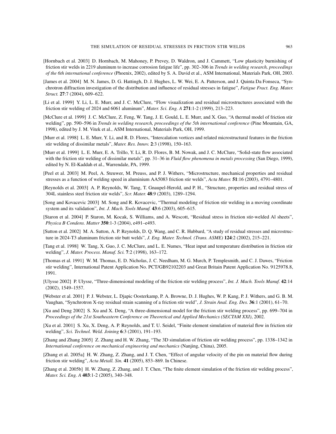- [Hornbach et al. 2003] D. Hornbach, M. Mahoney, P. Prevey, D. Waldron, and J. Cammett, "Low plasticity burnishing of friction stir welds in 2219 aluminum to increase corrosion fatigue life", pp. 302–306 in *Trends in welding research, proceedings of the 6th international conference* (Phoenix, 2002), edited by S. A. David et al., ASM International, Materials Park, OH, 2003.
- [James et al. 2004] M. N. James, D. G. Hattingh, D. J. Hughes, L. W. Wei, E. A. Patterson, and J. Quinta Da Fonseca, "Synchrotron diffraction investigation of the distribution and influence of residual stresses in fatigue", *Fatigue Fract. Eng. Mater. Struct.* 27:7 (2004), 609–622.
- [Li et al. 1999] Y. Li, L. E. Murr, and J. C. McClure, "Flow visualization and residual microstructures associated with the friction stir welding of 2024 and 6061 aluminum", *Mater. Sci. Eng. A* 271:1-2 (1999), 213–223.
- [McClure et al. 1999] J. C. McClure, Z. Feng, W. Tang, J. E. Gould, L. E. Murr, and X. Guo, "A thermal model of friction stir welding", pp. 590–596 in *Trends in welding research, proceedings of the 5th international conference* (Pine Mountain, GA, 1998), edited by J. M. Vitek et al., ASM International, Materials Park, OH, 1999.
- [Murr et al. 1998] L. E. Murr, Y. Li, and R. D. Flores, "Intercalation vortices and related microstructural features in the friction stir welding of dissimilar metals", *Mater. Res. Innov.* 2:3 (1998), 150–163.
- [Murr et al. 1999] L. E. Murr, E. A. Trillo, Y. Li, R. D. Flores, B. M. Nowak, and J. C. McClure, "Solid-state flow associated with the friction stir welding of dissimilar metals", pp. 31–36 in *Fluid flow phenomena in metals processing* (San Diego, 1999), edited by N. El-Kaddah et al., Warrendale, PA, 1999.
- [Peel et al. 2003] M. Peel, A. Steuwer, M. Preuss, and P. J. Withers, "Microstructure, mechanical properties and residual stresses as a function of welding speed in aluminium AA5083 friction stir welds", *Acta Mater.* 51:16 (2003), 4791–4801.
- [Reynolds et al. 2003] A. P. Reynolds, W. Tang, T. Gnaupel-Herold, and P. H., "Structure, properties and residual stress of 304L stainless steel friction stir welds", *Scr. Mater.* 48:9 (2003), 1289–1294.
- [Song and Kovacevic 2003] M. Song and R. Kovacevic, "Thermal modeling of friction stir welding in a moving coordinate system and its validation", *Int. J. Mach. Tools Manuf.* 43:6 (2003), 605–615.
- [Staron et al. 2004] P. Staron, M. Kocak, S. Williams, and A. Wescott, "Residual stress in friction stir-welded Al sheets", *Physica B Condens. Matter* 350:1-3 (2004), e491–e493.
- [Sutton et al. 2002] M. A. Sutton, A. P. Reynolds, D. Q. Wang, and C. R. Hubbard, "A study of residual stresses and microstructure in 2024-T3 aluminum friction stir butt welds", *J. Eng. Mater. Technol. (Trans. ASME)* 124:2 (2002), 215–221.
- [Tang et al. 1998] W. Tang, X. Guo, J. C. McClure, and L. E. Numes, "Heat input and temperature distribution in friction stir welding", *J. Mater. Process. Manuf. Sci.* 7:2 (1998), 163–172.
- [Thomas et al. 1991] W. M. Thomas, E. D. Nicholas, J. C. Needham, M. G. Murch, P. Templesmith, and C. J. Dawes, "Friction stir welding", International Patent Application No. PCT/GB92102203 and Great Britain Patent Application No. 9125978.8, 1991.
- [Ulysse 2002] P. Ulysse, "Three-dimensional modeling of the friction stir welding process", *Int. J. Mach. Tools Manuf.* 42:14 (2002), 1549–1557.
- [Webster et al. 2001] P. J. Webster, L. Djapic Oosterkamp, P. A. Browne, D. J. Hughes, W. P. Kang, P. J. Withers, and G. B. M. Vaughan, "Synchrotron X-ray residual strain scanning of a friction stir weld", *J. Strain Anal. Eng. Des.* 36:1 (2001), 61–70.
- [Xu and Deng 2002] S. Xu and X. Deng, "A three-dimensional model for the friction stir welding process", pp. 699–704 in *Proceedings of the 21st Southeastern Conference on Theoretical and Applied Mechanics (SECTAM XXI)*, 2002.
- [Xu et al. 2001] S. Xu, X. Deng, A. P. Reynolds, and T. U. Seidel, "Finite element simulation of material flow in friction stir welding", *Sci. Technol. Weld. Joining* 6:3 (2001), 191–193.
- [Zhang and Zhang 2005] Z. Zhang and H. W. Zhang, "The 3D simulation of friction stir welding process", pp. 1338–1342 in *International conference on mechanical engineering and mechanics* (Nanjing, China), 2005.
- [Zhang et al. 2005a] H. W. Zhang, Z. Zhang, and J. T. Chen, "Effect of angular velocity of the pin on material flow during friction stir welding", *Acta Metall. Sin.* 41 (2005), 853–869. In Chinese.
- [Zhang et al. 2005b] H. W. Zhang, Z. Zhang, and J. T. Chen, "The finite element simulation of the friction stir welding process", *Mater. Sci. Eng. A* 403:1-2 (2005), 340–348.